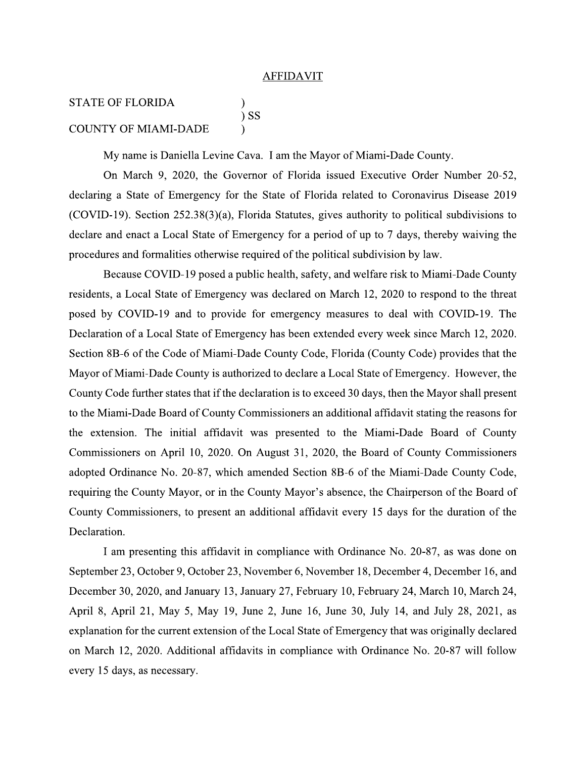## **AFFIDAVIT**

## **STATE OF FLORIDA**  $)$  SS **COUNTY OF MIAMI-DADE**

My name is Daniella Levine Cava. I am the Mayor of Miami-Dade County.

On March 9, 2020, the Governor of Florida issued Executive Order Number 20-52, declaring a State of Emergency for the State of Florida related to Coronavirus Disease 2019 (COVID-19). Section 252.38(3)(a), Florida Statutes, gives authority to political subdivisions to declare and enact a Local State of Emergency for a period of up to 7 days, thereby waiving the procedures and formalities otherwise required of the political subdivision by law.

Because COVID-19 posed a public health, safety, and welfare risk to Miami-Dade County residents, a Local State of Emergency was declared on March 12, 2020 to respond to the threat posed by COVID-19 and to provide for emergency measures to deal with COVID-19. The Declaration of a Local State of Emergency has been extended every week since March 12, 2020. Section 8B-6 of the Code of Miami-Dade County Code, Florida (County Code) provides that the Mayor of Miami-Dade County is authorized to declare a Local State of Emergency. However, the County Code further states that if the declaration is to exceed 30 days, then the Mayor shall present to the Miami-Dade Board of County Commissioners an additional affidavit stating the reasons for the extension. The initial affidavit was presented to the Miami-Dade Board of County Commissioners on April 10, 2020. On August 31, 2020, the Board of County Commissioners adopted Ordinance No. 20-87, which amended Section 8B-6 of the Miami-Dade County Code, requiring the County Mayor, or in the County Mayor's absence, the Chairperson of the Board of County Commissioners, to present an additional affidavit every 15 days for the duration of the Declaration.

I am presenting this affidavit in compliance with Ordinance No. 20-87, as was done on September 23, October 9, October 23, November 6, November 18, December 4, December 16, and December 30, 2020, and January 13, January 27, February 10, February 24, March 10, March 24, April 8, April 21, May 5, May 19, June 2, June 16, June 30, July 14, and July 28, 2021, as explanation for the current extension of the Local State of Emergency that was originally declared on March 12, 2020. Additional affidavits in compliance with Ordinance No. 20-87 will follow every 15 days, as necessary.